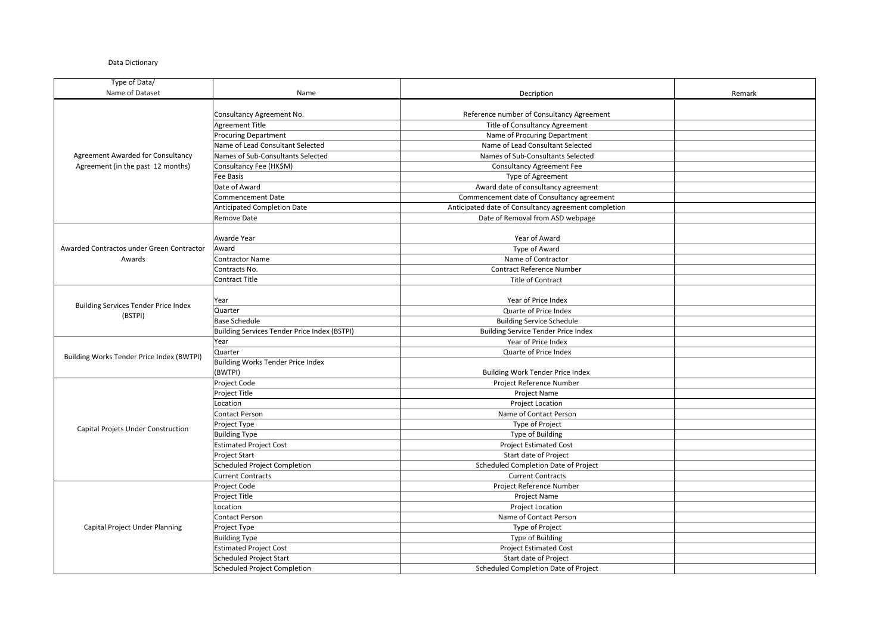## Data Dictionary

| Type of Data/                               |                                              |                                                      |        |
|---------------------------------------------|----------------------------------------------|------------------------------------------------------|--------|
| Name of Dataset                             | Name                                         | Decription                                           | Remark |
|                                             |                                              |                                                      |        |
|                                             | Consultancy Agreement No.                    | Reference number of Consultancy Agreement            |        |
|                                             | <b>Agreement Title</b>                       | Title of Consultancy Agreement                       |        |
|                                             | <b>Procuring Department</b>                  | Name of Procuring Department                         |        |
|                                             | Name of Lead Consultant Selected             | Name of Lead Consultant Selected                     |        |
| Agreement Awarded for Consultancy           | Names of Sub-Consultants Selected            | Names of Sub-Consultants Selected                    |        |
| Agreement (in the past 12 months)           | Consultancy Fee (HK\$M)                      | <b>Consultancy Agreement Fee</b>                     |        |
|                                             | <b>Fee Basis</b>                             | Type of Agreement                                    |        |
|                                             | Date of Award                                | Award date of consultancy agreement                  |        |
|                                             | <b>Commencement Date</b>                     | Commencement date of Consultancy agreement           |        |
|                                             | <b>Anticipated Completion Date</b>           | Anticipated date of Consultancy agreement completion |        |
|                                             | Remove Date                                  | Date of Removal from ASD webpage                     |        |
|                                             | Awarde Year                                  | Year of Award                                        |        |
| Awarded Contractos under Green Contractor   | Award                                        | Type of Award                                        |        |
| Awards                                      | <b>Contractor Name</b>                       | Name of Contractor                                   |        |
|                                             | Contracts No.                                | <b>Contract Reference Number</b>                     |        |
|                                             | <b>Contract Title</b>                        | Title of Contract                                    |        |
|                                             |                                              |                                                      |        |
|                                             | Year                                         | Year of Price Index                                  |        |
| <b>Building Services Tender Price Index</b> | Quarter                                      | Quarte of Price Index                                |        |
| (BSTPI)                                     | <b>Base Schedule</b>                         | <b>Building Service Schedule</b>                     |        |
|                                             | Building Services Tender Price Index (BSTPI) | <b>Building Service Tender Price Index</b>           |        |
|                                             | Year                                         | Year of Price Index                                  |        |
|                                             | Quarter                                      | Quarte of Price Index                                |        |
| Building Works Tender Price Index (BWTPI)   | Building Works Tender Price Index            |                                                      |        |
|                                             | (BWTPI)                                      | Building Work Tender Price Index                     |        |
|                                             | Project Code                                 | Project Reference Number                             |        |
|                                             | Project Title                                | <b>Project Name</b>                                  |        |
|                                             | Location                                     | <b>Project Location</b>                              |        |
|                                             | <b>Contact Person</b>                        | Name of Contact Person                               |        |
|                                             | Project Type                                 | Type of Project                                      |        |
| Capital Projets Under Construction          | <b>Building Type</b>                         | Type of Building                                     |        |
|                                             | <b>Estimated Project Cost</b>                | <b>Project Estimated Cost</b>                        |        |
|                                             | <b>Project Start</b>                         | Start date of Project                                |        |
|                                             | Scheduled Project Completion                 | Scheduled Completion Date of Project                 |        |
|                                             | <b>Current Contracts</b>                     | <b>Current Contracts</b>                             |        |
|                                             | Project Code                                 | Project Reference Number                             |        |
|                                             | <b>Project Title</b>                         | <b>Project Name</b>                                  |        |
|                                             | Location                                     | Project Location                                     |        |
|                                             | <b>Contact Person</b>                        | Name of Contact Person                               |        |
| Capital Project Under Planning              | Project Type                                 | Type of Project                                      |        |
|                                             | <b>Building Type</b>                         | Type of Building                                     |        |
|                                             | <b>Estimated Project Cost</b>                | <b>Project Estimated Cost</b>                        |        |
|                                             | <b>Scheduled Project Start</b>               | Start date of Project                                |        |
|                                             | Scheduled Project Completion                 | Scheduled Completion Date of Project                 |        |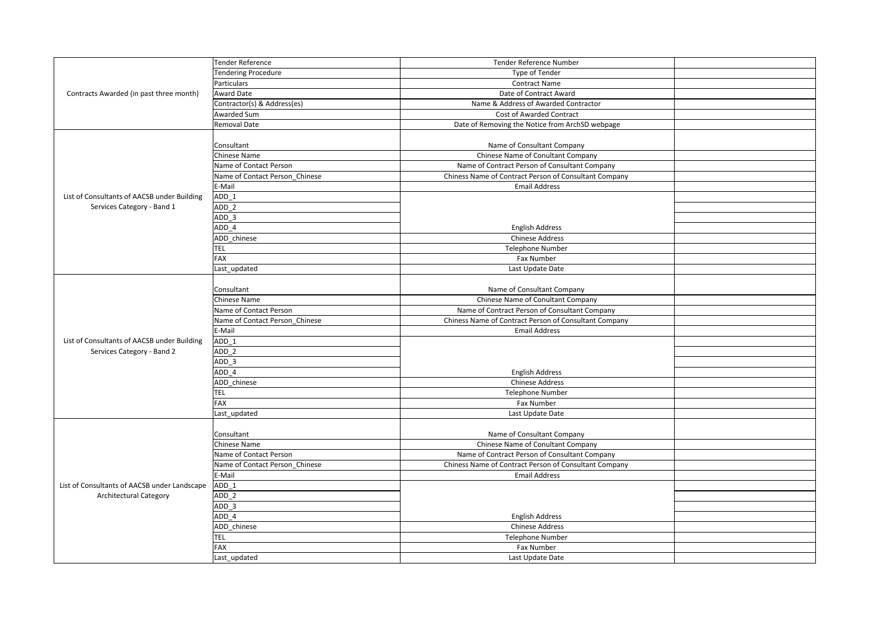|                                              | <b>Tender Reference</b>        | Tender Reference Number                               |  |
|----------------------------------------------|--------------------------------|-------------------------------------------------------|--|
|                                              | <b>Tendering Procedure</b>     | Type of Tender                                        |  |
|                                              | Particulars                    | <b>Contract Name</b>                                  |  |
| Contracts Awarded (in past three month)      | <b>Award Date</b>              | Date of Contract Award                                |  |
|                                              | Contractor(s) & Address(es)    | Name & Address of Awarded Contractor                  |  |
|                                              | Awarded Sum                    | Cost of Awarded Contract                              |  |
|                                              | Removal Date                   | Date of Removing the Notice from ArchSD webpage       |  |
|                                              |                                |                                                       |  |
|                                              | Consultant                     | Name of Consultant Company                            |  |
|                                              | Chinese Name                   | Chinese Name of Conultant Company                     |  |
|                                              | Name of Contact Person         | Name of Contract Person of Consultant Company         |  |
|                                              | Name of Contact Person Chinese | Chiness Name of Contract Person of Consultant Company |  |
|                                              | E-Mail                         | <b>Email Address</b>                                  |  |
| List of Consultants of AACSB under Building  | ADD 1                          |                                                       |  |
| Services Category - Band 1                   | ADD <sub>2</sub>               |                                                       |  |
|                                              | ADD 3                          |                                                       |  |
|                                              | ADD 4                          | <b>English Address</b>                                |  |
|                                              | ADD chinese                    | <b>Chinese Address</b>                                |  |
|                                              | <b>TEL</b>                     | <b>Telephone Number</b>                               |  |
|                                              | <b>FAX</b>                     | Fax Number                                            |  |
|                                              | Last updated                   | Last Update Date                                      |  |
|                                              |                                |                                                       |  |
|                                              | Consultant                     | Name of Consultant Company                            |  |
|                                              | Chinese Name                   | Chinese Name of Conultant Company                     |  |
|                                              | Name of Contact Person         | Name of Contract Person of Consultant Company         |  |
|                                              | Name of Contact Person Chinese | Chiness Name of Contract Person of Consultant Company |  |
|                                              | E-Mail                         | <b>Email Address</b>                                  |  |
| List of Consultants of AACSB under Building  | ADD 1                          |                                                       |  |
| Services Category - Band 2                   | ADD <sub>2</sub>               |                                                       |  |
|                                              | ADD 3                          |                                                       |  |
|                                              | ADD 4                          | <b>English Address</b>                                |  |
|                                              | ADD chinese                    | <b>Chinese Address</b>                                |  |
|                                              | TEL                            | <b>Telephone Number</b>                               |  |
|                                              | FAX                            | Fax Number                                            |  |
|                                              | Last updated                   | Last Update Date                                      |  |
|                                              |                                |                                                       |  |
|                                              | Consultant                     | Name of Consultant Company                            |  |
|                                              | Chinese Name                   | Chinese Name of Conultant Company                     |  |
|                                              | Name of Contact Person         | Name of Contract Person of Consultant Company         |  |
|                                              | Name of Contact Person Chinese | Chiness Name of Contract Person of Consultant Company |  |
|                                              | E-Mail                         | <b>Email Address</b>                                  |  |
| List of Consultants of AACSB under Landscape | ADD 1                          |                                                       |  |
| <b>Architectural Category</b>                | ADD <sub>2</sub>               |                                                       |  |
|                                              | ADD 3                          |                                                       |  |
|                                              | ADD 4                          | <b>English Address</b>                                |  |
|                                              | ADD chinese                    | <b>Chinese Address</b>                                |  |
|                                              | TEL                            | <b>Telephone Number</b>                               |  |
|                                              | FAX                            | Fax Number                                            |  |
|                                              |                                |                                                       |  |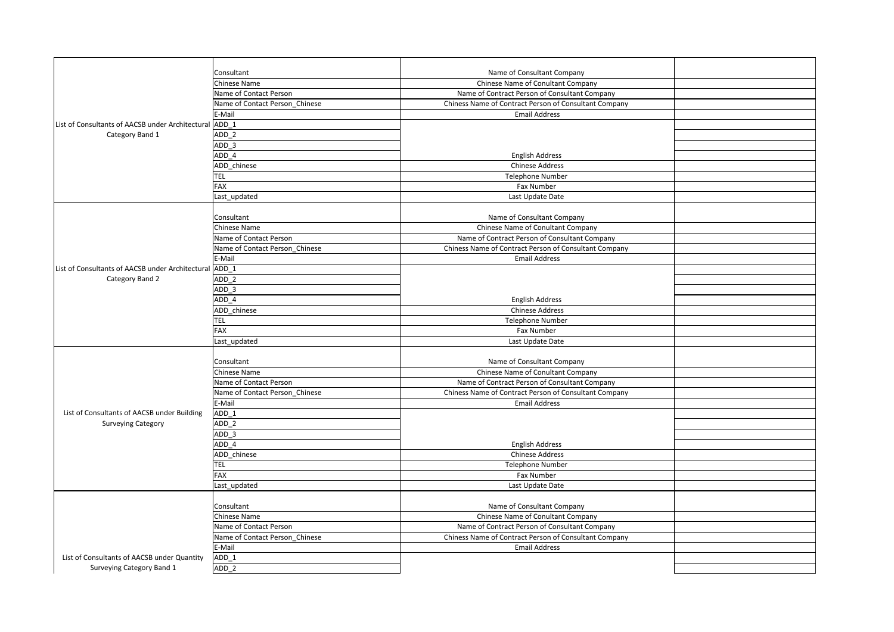|                                                        | Consultant                     | Name of Consultant Company                            |  |
|--------------------------------------------------------|--------------------------------|-------------------------------------------------------|--|
|                                                        | Chinese Name                   | Chinese Name of Conultant Company                     |  |
|                                                        | Name of Contact Person         | Name of Contract Person of Consultant Company         |  |
|                                                        | Name of Contact Person Chinese | Chiness Name of Contract Person of Consultant Company |  |
|                                                        | E-Mail                         | <b>Email Address</b>                                  |  |
| List of Consultants of AACSB under Architectural ADD 1 |                                |                                                       |  |
| Category Band 1                                        | ADD <sub>2</sub>               |                                                       |  |
|                                                        | ADD <sub>3</sub>               |                                                       |  |
|                                                        | ADD 4                          | <b>English Address</b>                                |  |
|                                                        | ADD chinese                    | <b>Chinese Address</b>                                |  |
|                                                        | TEL                            | <b>Telephone Number</b>                               |  |
|                                                        | <b>FAX</b>                     | Fax Number                                            |  |
|                                                        | Last updated                   | Last Update Date                                      |  |
|                                                        |                                |                                                       |  |
|                                                        | Consultant                     | Name of Consultant Company                            |  |
|                                                        | Chinese Name                   | Chinese Name of Conultant Company                     |  |
|                                                        | Name of Contact Person         | Name of Contract Person of Consultant Company         |  |
|                                                        | Name of Contact Person Chinese | Chiness Name of Contract Person of Consultant Company |  |
|                                                        | E-Mail                         | <b>Email Address</b>                                  |  |
| List of Consultants of AACSB under Architectural ADD 1 |                                |                                                       |  |
| Category Band 2                                        | ADD <sub>2</sub>               |                                                       |  |
|                                                        | ADD 3                          |                                                       |  |
|                                                        | ADD 4                          | <b>English Address</b>                                |  |
|                                                        | ADD chinese                    | <b>Chinese Address</b>                                |  |
|                                                        | <b>TEL</b>                     | <b>Telephone Number</b>                               |  |
|                                                        | FAX                            | Fax Number                                            |  |
|                                                        | Last updated                   | Last Update Date                                      |  |
|                                                        |                                |                                                       |  |
|                                                        | Consultant                     | Name of Consultant Company                            |  |
|                                                        | Chinese Name                   | Chinese Name of Conultant Company                     |  |
|                                                        | Name of Contact Person         | Name of Contract Person of Consultant Company         |  |
|                                                        | Name of Contact Person Chinese | Chiness Name of Contract Person of Consultant Company |  |
|                                                        | E-Mail                         | <b>Email Address</b>                                  |  |
| List of Consultants of AACSB under Building            | ADD 1                          |                                                       |  |
| <b>Surveying Category</b>                              | ADD <sub>2</sub>               |                                                       |  |
|                                                        | ADD 3                          |                                                       |  |
|                                                        | ADD 4                          | <b>English Address</b>                                |  |
|                                                        | ADD chinese                    | <b>Chinese Address</b>                                |  |
|                                                        | TEL                            | <b>Telephone Number</b>                               |  |
|                                                        | <b>FAX</b>                     | Fax Number                                            |  |
|                                                        | Last updated                   | Last Update Date                                      |  |
|                                                        |                                |                                                       |  |
|                                                        | Consultant                     | Name of Consultant Company                            |  |
|                                                        | Chinese Name                   | Chinese Name of Conultant Company                     |  |
|                                                        | Name of Contact Person         | Name of Contract Person of Consultant Company         |  |
|                                                        | Name of Contact Person Chinese | Chiness Name of Contract Person of Consultant Company |  |
|                                                        | E-Mail                         | <b>Email Address</b>                                  |  |
| List of Consultants of AACSB under Quantity            | ADD 1                          |                                                       |  |
| Surveying Category Band 1                              | ADD <sub>2</sub>               |                                                       |  |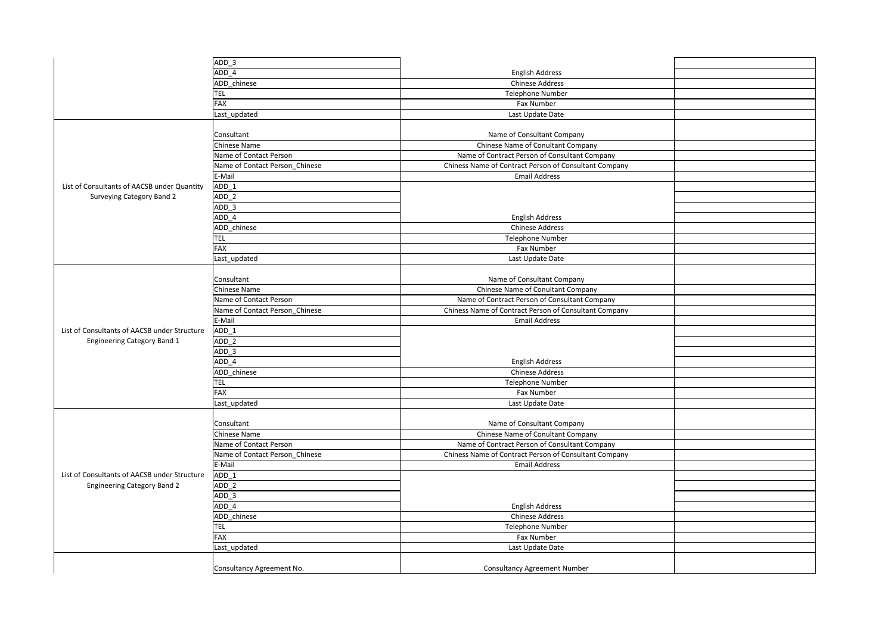|                                              | $ADD_3$                        |                                                       |  |
|----------------------------------------------|--------------------------------|-------------------------------------------------------|--|
|                                              | ADD 4                          | <b>English Address</b>                                |  |
|                                              | ADD chinese                    | <b>Chinese Address</b>                                |  |
|                                              | TEL                            | <b>Telephone Number</b>                               |  |
|                                              | FAX                            | Fax Number                                            |  |
|                                              | Last updated                   | Last Update Date                                      |  |
|                                              |                                |                                                       |  |
|                                              | Consultant                     | Name of Consultant Company                            |  |
|                                              | Chinese Name                   | Chinese Name of Conultant Company                     |  |
|                                              | Name of Contact Person         | Name of Contract Person of Consultant Company         |  |
|                                              | Name of Contact Person Chinese | Chiness Name of Contract Person of Consultant Company |  |
|                                              | E-Mail                         | <b>Email Address</b>                                  |  |
| List of Consultants of AACSB under Quantity  | ADD 1                          |                                                       |  |
|                                              | ADD <sub>2</sub>               |                                                       |  |
| Surveying Category Band 2                    |                                |                                                       |  |
|                                              | ADD <sub>3</sub>               |                                                       |  |
|                                              | ADD 4                          | <b>English Address</b>                                |  |
|                                              | ADD chinese                    | <b>Chinese Address</b>                                |  |
|                                              | <b>TEL</b>                     | <b>Telephone Number</b>                               |  |
|                                              | FAX                            | Fax Number                                            |  |
|                                              | Last_updated                   | Last Update Date                                      |  |
|                                              |                                |                                                       |  |
|                                              | Consultant                     | Name of Consultant Company                            |  |
|                                              | Chinese Name                   | Chinese Name of Conultant Company                     |  |
|                                              | Name of Contact Person         | Name of Contract Person of Consultant Company         |  |
|                                              | Name of Contact Person Chinese | Chiness Name of Contract Person of Consultant Company |  |
|                                              | E-Mail                         | <b>Email Address</b>                                  |  |
| List of Consultants of AACSB under Structure | ADD 1                          |                                                       |  |
| <b>Engineering Category Band 1</b>           | $ADD_2$                        |                                                       |  |
|                                              | $ADD_3$                        |                                                       |  |
|                                              | ADD 4                          | <b>English Address</b>                                |  |
|                                              | ADD chinese                    | <b>Chinese Address</b>                                |  |
|                                              | <b>TEL</b>                     | <b>Telephone Number</b>                               |  |
|                                              | <b>FAX</b>                     | Fax Number                                            |  |
|                                              | Last_updated                   | Last Update Date                                      |  |
|                                              |                                |                                                       |  |
|                                              | Consultant                     | Name of Consultant Company                            |  |
|                                              |                                |                                                       |  |
|                                              |                                |                                                       |  |
|                                              | Chinese Name                   | Chinese Name of Conultant Company                     |  |
|                                              | Name of Contact Person         | Name of Contract Person of Consultant Company         |  |
|                                              | Name of Contact Person Chinese | Chiness Name of Contract Person of Consultant Company |  |
|                                              | E-Mail                         | <b>Email Address</b>                                  |  |
| List of Consultants of AACSB under Structure | ADD 1                          |                                                       |  |
| <b>Engineering Category Band 2</b>           | ADD <sub>2</sub>               |                                                       |  |
|                                              | ADD <sub>3</sub>               |                                                       |  |
|                                              | ADD 4                          | <b>English Address</b>                                |  |
|                                              | ADD chinese                    | <b>Chinese Address</b>                                |  |
|                                              | <b>TEL</b>                     | <b>Telephone Number</b>                               |  |
|                                              | FAX                            | Fax Number                                            |  |
|                                              | Last_updated                   | Last Update Date                                      |  |
|                                              |                                |                                                       |  |